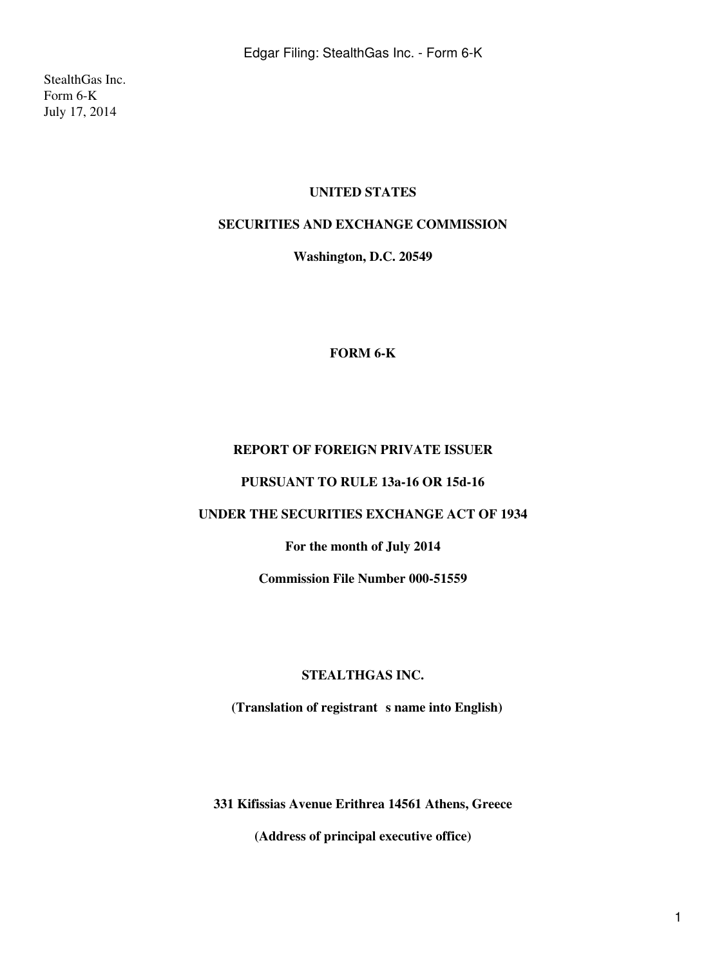StealthGas Inc. Form 6-K July 17, 2014

## **UNITED STATES**

## **SECURITIES AND EXCHANGE COMMISSION**

**Washington, D.C. 20549**

#### **FORM 6-K**

## **REPORT OF FOREIGN PRIVATE ISSUER**

### **PURSUANT TO RULE 13a-16 OR 15d-16**

# **UNDER THE SECURITIES EXCHANGE ACT OF 1934**

### **For the month of July 2014**

**Commission File Number 000-51559**

#### **STEALTHGAS INC.**

(Translation of registrant s name into English)

**331 Kifissias Avenue Erithrea 14561 Athens, Greece**

**(Address of principal executive office)**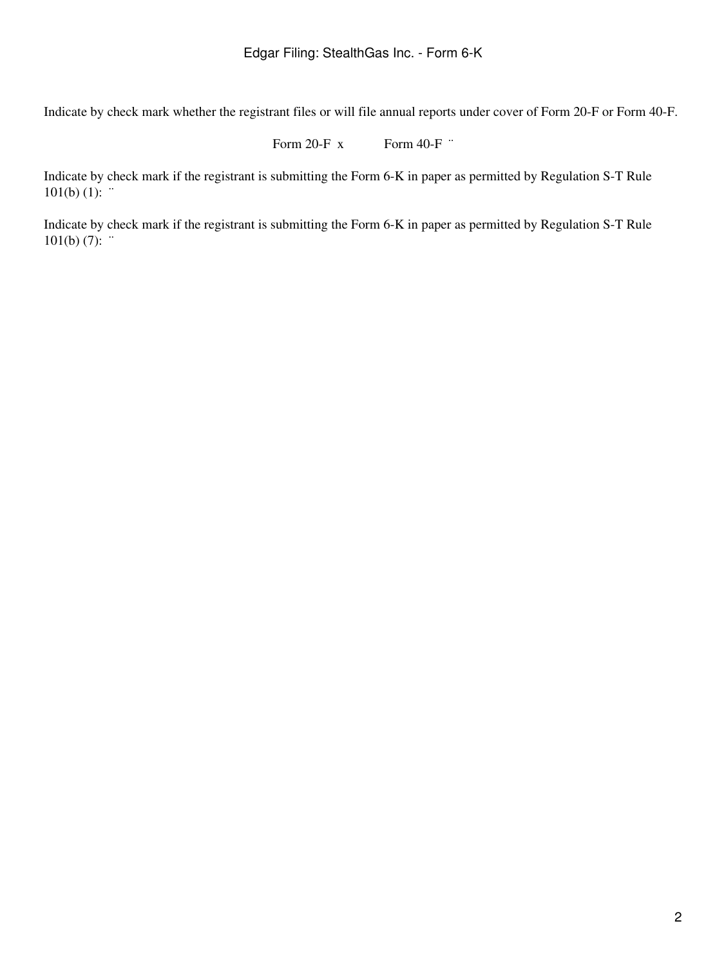Indicate by check mark whether the registrant files or will file annual reports under cover of Form 20-F or Form 40-F.

Form 20-F  $x$  Form 40-F  $\cdot$ 

Indicate by check mark if the registrant is submitting the Form 6-K in paper as permitted by Regulation S-T Rule  $101(b) (1):$ 

Indicate by check mark if the registrant is submitting the Form 6-K in paper as permitted by Regulation S-T Rule  $101(b) (7)$ : "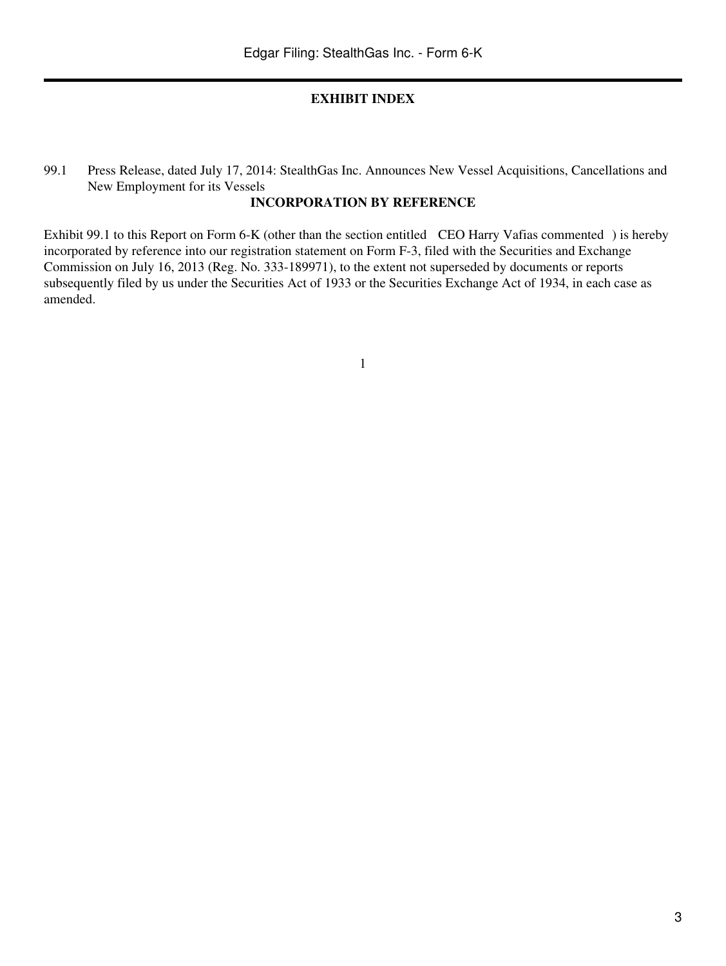#### **EXHIBIT INDEX**

99.1 Press Release, dated July 17, 2014: StealthGas Inc. Announces New Vessel Acquisitions, Cancellations and New Employment for its Vessels

# **INCORPORATION BY REFERENCE**

Exhibit 99.1 to this Report on Form 6-K (other than the section entitled CEO Harry Vafias commented) is hereby incorporated by reference into our registration statement on Form F-3, filed with the Securities and Exchange Commission on July 16, 2013 (Reg. No. 333-189971), to the extent not superseded by documents or reports subsequently filed by us under the Securities Act of 1933 or the Securities Exchange Act of 1934, in each case as amended.

1